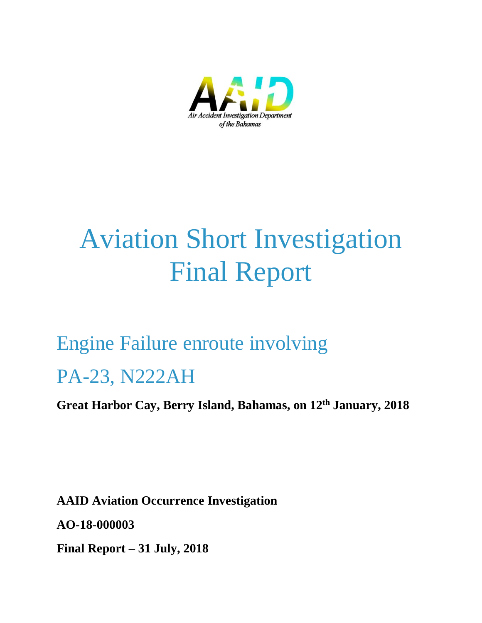

# Aviation Short Investigation Final Report

# Engine Failure enroute involving

# PA-23, N222AH

**Great Harbor Cay, Berry Island, Bahamas, on 12th January, 2018**

**AAID Aviation Occurrence Investigation AO-18-000003 Final Report – 31 July, 2018**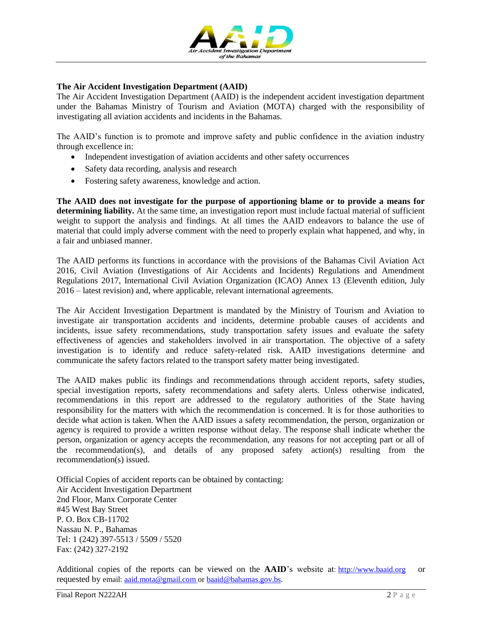

#### **The Air Accident Investigation Department (AAID)**

The Air Accident Investigation Department (AAID) is the independent accident investigation department under the Bahamas Ministry of Tourism and Aviation (MOTA) charged with the responsibility of investigating all aviation accidents and incidents in the Bahamas.

The AAID's function is to promote and improve safety and public confidence in the aviation industry through excellence in:

- Independent investigation of aviation accidents and other safety occurrences
- Safety data recording, analysis and research
- Fostering safety awareness, knowledge and action.

**The AAID does not investigate for the purpose of apportioning blame or to provide a means for determining liability.** At the same time, an investigation report must include factual material of sufficient weight to support the analysis and findings. At all times the AAID endeavors to balance the use of material that could imply adverse comment with the need to properly explain what happened, and why, in a fair and unbiased manner.

The AAID performs its functions in accordance with the provisions of the Bahamas Civil Aviation Act 2016, Civil Aviation (Investigations of Air Accidents and Incidents) Regulations and Amendment Regulations 2017, International Civil Aviation Organization (ICAO) Annex 13 (Eleventh edition, July 2016 – latest revision) and, where applicable, relevant international agreements.

The Air Accident Investigation Department is mandated by the Ministry of Tourism and Aviation to investigate air transportation accidents and incidents, determine probable causes of accidents and incidents, issue safety recommendations, study transportation safety issues and evaluate the safety effectiveness of agencies and stakeholders involved in air transportation. The objective of a safety investigation is to identify and reduce safety-related risk. AAID investigations determine and communicate the safety factors related to the transport safety matter being investigated.

The AAID makes public its findings and recommendations through accident reports, safety studies, special investigation reports, safety recommendations and safety alerts. Unless otherwise indicated, recommendations in this report are addressed to the regulatory authorities of the State having responsibility for the matters with which the recommendation is concerned. It is for those authorities to decide what action is taken. When the AAID issues a safety recommendation, the person, organization or agency is required to provide a written response without delay. The response shall indicate whether the person, organization or agency accepts the recommendation, any reasons for not accepting part or all of the recommendation(s), and details of any proposed safety action(s) resulting from the recommendation(s) issued.

Official Copies of accident reports can be obtained by contacting: Air Accident Investigation Department 2nd Floor, Manx Corporate Center #45 West Bay Street P. O. Box CB-11702 Nassau N. P., Bahamas Tel: 1 (242) 397-5513 / 5509 / 5520 Fax: (242) 327-2192

Additional copies of the reports can be viewed on the **AAID**'s website at: [http://www.baaid.org](http://www.baaid.org/) or requested by email: [aaid.mota@gmail.com](mailto:aaid.mota@gmail.com) or [baaid@bahamas.gov.bs.](mailto:baaid@bahamas.gov.bs)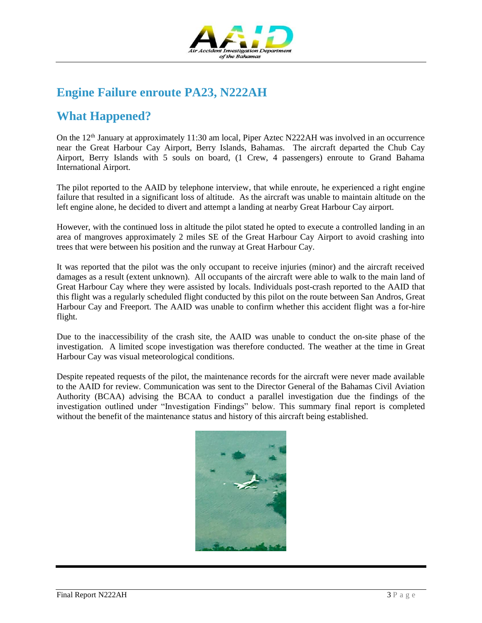

# **Engine Failure enroute PA23, N222AH**

# **What Happened?**

On the 12<sup>th</sup> January at approximately 11:30 am local, Piper Aztec N222AH was involved in an occurrence near the Great Harbour Cay Airport, Berry Islands, Bahamas. The aircraft departed the Chub Cay Airport, Berry Islands with 5 souls on board, (1 Crew, 4 passengers) enroute to Grand Bahama International Airport.

The pilot reported to the AAID by telephone interview, that while enroute, he experienced a right engine failure that resulted in a significant loss of altitude. As the aircraft was unable to maintain altitude on the left engine alone, he decided to divert and attempt a landing at nearby Great Harbour Cay airport.

However, with the continued loss in altitude the pilot stated he opted to execute a controlled landing in an area of mangroves approximately 2 miles SE of the Great Harbour Cay Airport to avoid crashing into trees that were between his position and the runway at Great Harbour Cay.

It was reported that the pilot was the only occupant to receive injuries (minor) and the aircraft received damages as a result (extent unknown). All occupants of the aircraft were able to walk to the main land of Great Harbour Cay where they were assisted by locals. Individuals post-crash reported to the AAID that this flight was a regularly scheduled flight conducted by this pilot on the route between San Andros, Great Harbour Cay and Freeport. The AAID was unable to confirm whether this accident flight was a for-hire flight.

Due to the inaccessibility of the crash site, the AAID was unable to conduct the on-site phase of the investigation. A limited scope investigation was therefore conducted. The weather at the time in Great Harbour Cay was visual meteorological conditions.

Despite repeated requests of the pilot, the maintenance records for the aircraft were never made available to the AAID for review. Communication was sent to the Director General of the Bahamas Civil Aviation Authority (BCAA) advising the BCAA to conduct a parallel investigation due the findings of the investigation outlined under "Investigation Findings" below. This summary final report is completed without the benefit of the maintenance status and history of this aircraft being established.

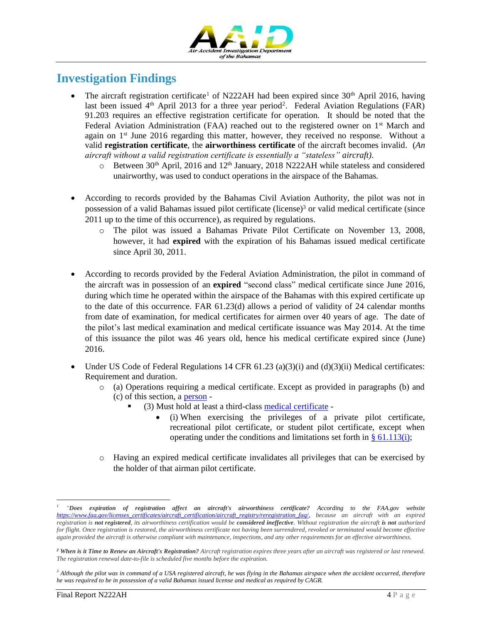

# **Investigation Findings**

- The aircraft registration certificate<sup>1</sup> of N222AH had been expired since  $30<sup>th</sup>$  April 2016, having last been issued 4<sup>th</sup> April 2013 for a three year period<sup>2</sup>. Federal Aviation Regulations (FAR) 91.203 requires an effective registration certificate for operation. It should be noted that the Federal Aviation Administration (FAA) reached out to the registered owner on  $1<sup>st</sup>$  March and again on 1<sup>st</sup> June 2016 regarding this matter, however, they received no response. Without a valid **registration certificate**, the **airworthiness certificate** of the aircraft becomes invalid. (*An aircraft without a valid registration certificate is essentially a "stateless" aircraft).*
	- $\circ$  Between 30<sup>th</sup> April, 2016 and 12<sup>th</sup> January, 2018 N222AH while stateless and considered unairworthy, was used to conduct operations in the airspace of the Bahamas.
- According to records provided by the Bahamas Civil Aviation Authority, the pilot was not in possession of a valid Bahamas issued pilot certificate (license) <sup>3</sup> or valid medical certificate (since 2011 up to the time of this occurrence), as required by regulations.
	- o The pilot was issued a Bahamas Private Pilot Certificate on November 13, 2008, however, it had **expired** with the expiration of his Bahamas issued medical certificate since April 30, 2011.
- According to records provided by the Federal Aviation Administration, the pilot in command of the aircraft was in possession of an **expired** "second class" medical certificate since June 2016, during which time he operated within the airspace of the Bahamas with this expired certificate up to the date of this occurrence. FAR 61.23(d) allows a period of validity of 24 calendar months from date of examination, for medical certificates for airmen over 40 years of age. The date of the pilot's last medical examination and medical certificate issuance was May 2014. At the time of this issuance the pilot was 46 years old, hence his medical certificate expired since (June) 2016.
- Under US Code of Federal Regulations 14 CFR  $61.23$  (a)(3)(i) and (d)(3)(ii) Medical certificates: Requirement and duration.
	- o (a) Operations requiring a medical certificate. Except as provided in paragraphs (b) and (c) of this section, a [person](https://www.law.cornell.edu/definitions/index.php?width=840&height=800&iframe=true&def_id=24a80ca42ed148d527b7ddad982da95a&term_occur=1&term_src=Title:14:Chapter:I:Subchapter:D:Part:61:Subpart:A:61.23) -
		- (3) Must hold at least a third-class [medical certificate](https://www.law.cornell.edu/definitions/index.php?width=840&height=800&iframe=true&def_id=eefd25aa52640fe5f4e89fee6d68b8a8&term_occur=2&term_src=Title:14:Chapter:I:Subchapter:D:Part:61:Subpart:A:61.23)
			- (i) When exercising the privileges of a private pilot certificate, recreational pilot certificate, or student pilot certificate, except when operating under the conditions and limitations set forth in  $§ 61.113(i);$
	- o Having an expired medical certificate invalidates all privileges that can be exercised by the holder of that airman pilot certificate.

 $\overline{a}$ 

*<sup>1</sup> "Does expiration of registration affect an aircraft's airworthiness certificate? According to the FAA.gov website [https://www.faa.gov/licenses\\_certificates/aircraft\\_certification/aircraft\\_registry/reregistration\\_faq/,](https://www.faa.gov/licenses_certificates/aircraft_certification/aircraft_registry/reregistration_faq/) because an aircraft with an expired registration is not registered, its airworthiness certification would be considered ineffective. Without registration the aircraft is not authorized*  for flight. Once registration is restored, the airworthiness certificate not having been surrendered, revoked or terminated would become effective *again provided the aircraft is otherwise compliant with maintenance, inspections, and any other requirements for an effective airworthiness.*

*<sup>2</sup> When is it Time to Renew an Aircraft's Registration? Aircraft registration expires three years after an aircraft was registered or last renewed. The registration renewal date-to-file is scheduled five months before the expiration.*

*<sup>3</sup> Although the pilot was in command of a USA registered aircraft, he was flying in the Bahamas airspace when the accident occurred, therefore he was required to be in possession of a valid Bahamas issued license and medical as required by CAGR.*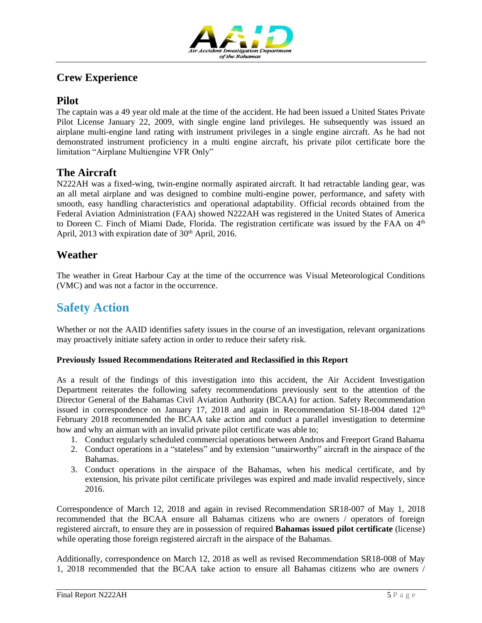

### **Crew Experience**

#### **Pilot**

The captain was a 49 year old male at the time of the accident. He had been issued a United States Private Pilot License January 22, 2009, with single engine land privileges. He subsequently was issued an airplane multi-engine land rating with instrument privileges in a single engine aircraft. As he had not demonstrated instrument proficiency in a multi engine aircraft, his private pilot certificate bore the limitation "Airplane Multiengine VFR Only"

#### **The Aircraft**

N222AH was a fixed-wing, twin-engine normally aspirated aircraft. It had retractable landing gear, was an all metal airplane and was designed to combine multi-engine power, performance, and safety with smooth, easy handling characteristics and operational adaptability. Official records obtained from the Federal Aviation Administration (FAA) showed N222AH was registered in the United States of America to Doreen C. Finch of Miami Dade, Florida. The registration certificate was issued by the FAA on 4<sup>th</sup> April, 2013 with expiration date of  $30<sup>th</sup>$  April, 2016.

#### **Weather**

The weather in Great Harbour Cay at the time of the occurrence was Visual Meteorological Conditions (VMC) and was not a factor in the occurrence.

# **Safety Action**

Whether or not the AAID identifies safety issues in the course of an investigation, relevant organizations may proactively initiate safety action in order to reduce their safety risk.

#### **Previously Issued Recommendations Reiterated and Reclassified in this Report**

As a result of the findings of this investigation into this accident, the Air Accident Investigation Department reiterates the following safety recommendations previously sent to the attention of the Director General of the Bahamas Civil Aviation Authority (BCAA) for action. Safety Recommendation issued in correspondence on January 17, 2018 and again in Recommendation SI-18-004 dated  $12<sup>th</sup>$ February 2018 recommended the BCAA take action and conduct a parallel investigation to determine how and why an airman with an invalid private pilot certificate was able to;

- 1. Conduct regularly scheduled commercial operations between Andros and Freeport Grand Bahama
- 2. Conduct operations in a "stateless" and by extension "unairworthy" aircraft in the airspace of the Bahamas.
- 3. Conduct operations in the airspace of the Bahamas, when his medical certificate, and by extension, his private pilot certificate privileges was expired and made invalid respectively, since 2016.

Correspondence of March 12, 2018 and again in revised Recommendation SR18-007 of May 1, 2018 recommended that the BCAA ensure all Bahamas citizens who are owners / operators of foreign registered aircraft, to ensure they are in possession of required **Bahamas issued pilot certificate** (license) while operating those foreign registered aircraft in the airspace of the Bahamas.

Additionally, correspondence on March 12, 2018 as well as revised Recommendation SR18-008 of May 1, 2018 recommended that the BCAA take action to ensure all Bahamas citizens who are owners /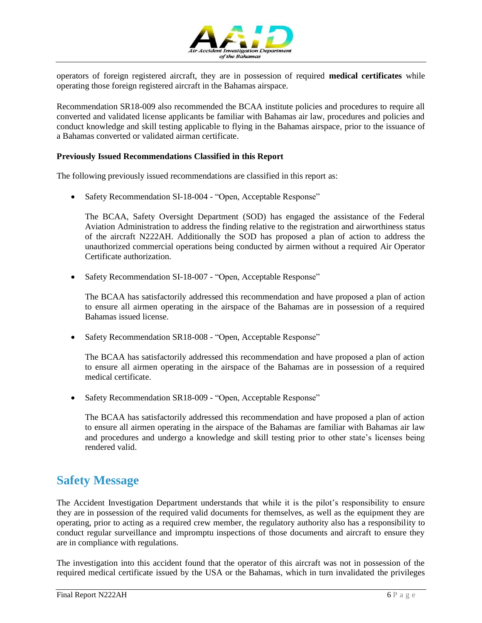

operators of foreign registered aircraft, they are in possession of required **medical certificates** while operating those foreign registered aircraft in the Bahamas airspace.

Recommendation SR18-009 also recommended the BCAA institute policies and procedures to require all converted and validated license applicants be familiar with Bahamas air law, procedures and policies and conduct knowledge and skill testing applicable to flying in the Bahamas airspace, prior to the issuance of a Bahamas converted or validated airman certificate.

#### **Previously Issued Recommendations Classified in this Report**

The following previously issued recommendations are classified in this report as:

Safety Recommendation SI-18-004 - "Open, Acceptable Response"

The BCAA, Safety Oversight Department (SOD) has engaged the assistance of the Federal Aviation Administration to address the finding relative to the registration and airworthiness status of the aircraft N222AH. Additionally the SOD has proposed a plan of action to address the unauthorized commercial operations being conducted by airmen without a required Air Operator Certificate authorization.

• Safety Recommendation SI-18-007 - "Open, Acceptable Response"

The BCAA has satisfactorily addressed this recommendation and have proposed a plan of action to ensure all airmen operating in the airspace of the Bahamas are in possession of a required Bahamas issued license.

Safety Recommendation SR18-008 - "Open, Acceptable Response"

The BCAA has satisfactorily addressed this recommendation and have proposed a plan of action to ensure all airmen operating in the airspace of the Bahamas are in possession of a required medical certificate.

Safety Recommendation SR18-009 - "Open, Acceptable Response"

The BCAA has satisfactorily addressed this recommendation and have proposed a plan of action to ensure all airmen operating in the airspace of the Bahamas are familiar with Bahamas air law and procedures and undergo a knowledge and skill testing prior to other state's licenses being rendered valid.

## **Safety Message**

The Accident Investigation Department understands that while it is the pilot's responsibility to ensure they are in possession of the required valid documents for themselves, as well as the equipment they are operating, prior to acting as a required crew member, the regulatory authority also has a responsibility to conduct regular surveillance and impromptu inspections of those documents and aircraft to ensure they are in compliance with regulations.

The investigation into this accident found that the operator of this aircraft was not in possession of the required medical certificate issued by the USA or the Bahamas, which in turn invalidated the privileges